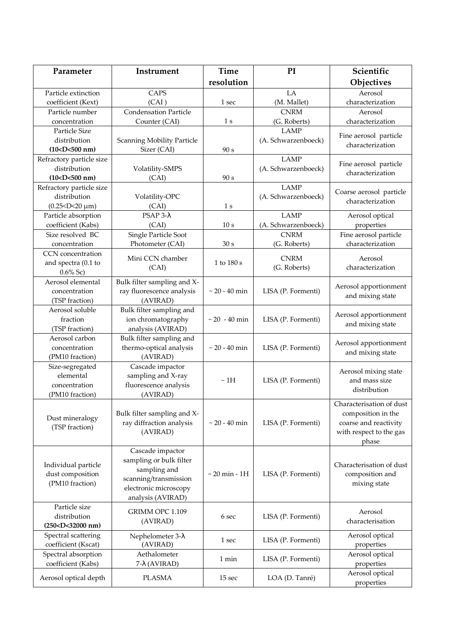| Parameter                                             | Instrument                               | Time               | PI                          | Scientific                                |
|-------------------------------------------------------|------------------------------------------|--------------------|-----------------------------|-------------------------------------------|
|                                                       |                                          | resolution         |                             | Objectives                                |
| Particle extinction                                   | CAPS                                     |                    | LA                          | Aerosol                                   |
| coefficient (Kext)                                    | (CAI)                                    | 1 sec              | (M. Mallet)                 | characterization                          |
| Particle number                                       | <b>Condensation Particle</b>             |                    | <b>CNRM</b>                 | Aerosol                                   |
| concentration                                         | Counter (CAI)                            | 1 <sub>s</sub>     | (G. Roberts)                | characterization                          |
| Particle Size                                         |                                          |                    | <b>LAMP</b>                 | Fine aerosol particle                     |
| distribution                                          | <b>Scanning Mobility Particle</b>        |                    | (A. Schwarzenboeck)         | characterization                          |
| $(10-D<500$ nm)                                       | Sizer (CAI)                              | 90 s               |                             |                                           |
| Refractory particle size                              |                                          |                    | <b>LAMP</b>                 | Fine aerosol particle                     |
| distribution                                          | Volatility-SMPS                          |                    | (A. Schwarzenboeck)         | characterization                          |
| $(10-D<500$ nm)                                       | (CAI)                                    | 90 s               |                             |                                           |
| Refractory particle size                              |                                          |                    | <b>LAMP</b>                 | Coarse aerosol particle                   |
| distribution                                          | Volatility-OPC                           |                    | (A. Schwarzenboeck)         | characterization                          |
| $(0.25 < D < 20 \mu m)$                               | (CAI)                                    | 1 <sub>s</sub>     |                             |                                           |
| Particle absorption                                   | $PSAP 3-\lambda$                         |                    | <b>LAMP</b>                 | Aerosol optical                           |
| coefficient (Kabs)                                    | (CAI)                                    | 10 <sub>s</sub>    | (A. Schwarzenboeck)         | properties                                |
| Size resolved BC<br>concentration                     | Single Particle Soot<br>Photometer (CAI) | 30 s               | <b>CNRM</b><br>(G. Roberts) | Fine aerosol particle<br>characterization |
| CCN concentration                                     |                                          |                    |                             |                                           |
| and spectra (0.1 to                                   | Mini CCN chamber                         | 1 to 180 s         | <b>CNRM</b>                 | Aerosol                                   |
| $0.6\%$ Sc)                                           | (CAI)                                    |                    | (G. Roberts)                | characterization                          |
| Aerosol elemental                                     | Bulk filter sampling and X-              |                    |                             |                                           |
| concentration                                         | ray fluorescence analysis                | $\sim 20 - 40$ min | LISA (P. Formenti)          | Aerosol apportionment                     |
| (TSP fraction)                                        | (AVIRAD)                                 |                    |                             | and mixing state                          |
| Aerosol soluble                                       | Bulk filter sampling and                 |                    |                             |                                           |
| fraction                                              | ion chromatography                       | $\sim 20 - 40$ min | LISA (P. Formenti)          | Aerosol apportionment                     |
| (TSP fraction)                                        | analysis (AVIRAD)                        |                    |                             | and mixing state                          |
| Aerosol carbon                                        | Bulk filter sampling and                 |                    |                             |                                           |
| concentration                                         | thermo-optical analysis                  | $\sim 20 - 40$ min | LISA (P. Formenti)          | Aerosol apportionment                     |
| (PM10 fraction)                                       | (AVIRAD)                                 |                    |                             | and mixing state                          |
| Size-segregated                                       | Cascade impactor                         |                    |                             | Aerosol mixing state                      |
| elemental                                             | sampling and X-ray                       | $~\sim 1H$         | LISA (P. Formenti)          | and mass size                             |
| concentration                                         | fluorescence analysis                    |                    |                             | distribution                              |
| (PM10 fraction)                                       | (AVIRAD)                                 |                    |                             |                                           |
|                                                       |                                          |                    |                             | Characterisation of dust                  |
| Dust mineralogy                                       | Bulk filter sampling and X-              |                    |                             | composition in the                        |
| (TSP fraction)                                        | ray diffraction analysis                 | $\sim 20 - 40$ min | LISA (P. Formenti)          | coarse and reactivity                     |
|                                                       | (AVIRAD)                                 |                    |                             | with respect to the gas                   |
|                                                       |                                          |                    |                             | phase                                     |
|                                                       | Cascade impactor                         |                    |                             |                                           |
| Individual particle                                   | sampling or bulk filter                  |                    |                             | Characterisation of dust                  |
| dust composition                                      | sampling and                             | $\sim 20$ min - 1H | LISA (P. Formenti)          | composition and                           |
| (PM10 fraction)                                       | scanning/transmission                    |                    |                             | mixing state                              |
|                                                       | electronic microscopy                    |                    |                             |                                           |
|                                                       | analysis (AVIRAD)                        |                    |                             |                                           |
| Particle size                                         | GRIMM OPC 1.109                          |                    |                             | Aerosol                                   |
| distribution                                          | (AVIRAD)                                 | 6 sec              | LISA (P. Formenti)          | characterisation                          |
| (250 <d<32000 nm)<br="">Spectral scattering</d<32000> |                                          |                    |                             | Aerosol optical                           |
| coefficient (Kscat)                                   | Nephelometer 3-λ<br>(AVIRAD)             | 1 sec              | LISA (P. Formenti)          | properties                                |
| Spectral absorption                                   | Aethalometer                             |                    |                             | Aerosol optical                           |
| coefficient (Kabs)                                    | 7-λ (AVIRAD)                             | 1 min              | LISA (P. Formenti)          | properties                                |
|                                                       |                                          |                    |                             | Aerosol optical                           |
| Aerosol optical depth                                 | <b>PLASMA</b>                            | 15 sec             | LOA (D. Tanré)              | properties                                |